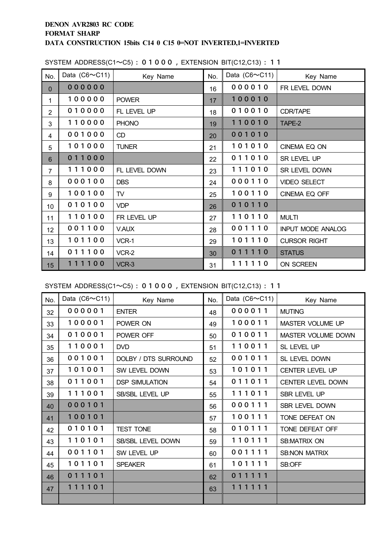| No.            | Data $(C6 \sim C11)$ | Key Name      | No. | Data $(C6 \sim C11)$ | Key Name                 |
|----------------|----------------------|---------------|-----|----------------------|--------------------------|
| $\overline{0}$ | 000000               |               | 16  | 000010               | FR LEVEL DOWN            |
| $\mathbf{1}$   | 100000               | <b>POWER</b>  | 17  | 100010               |                          |
| $\overline{2}$ | 010000               | FL LEVEL UP   | 18  | 010010               | <b>CDR/TAPE</b>          |
| 3              | 110000               | <b>PHONO</b>  | 19  | 110010               | TAPE-2                   |
| 4              | 001000               | CD            | 20  | 001010               |                          |
| 5              | 101000               | <b>TUNER</b>  | 21  | 101010               | CINEMA EQ ON             |
| $6\phantom{1}$ | 011000               |               | 22  | 011010               | SR LEVEL UP              |
| $\overline{7}$ | 111000               | FL LEVEL DOWN | 23  | 111010               | SR LEVEL DOWN            |
| 8              | 000100               | <b>DBS</b>    | 24  | 000110               | VIDEO SELECT             |
| 9              | 100100               | TV            | 25  | 100110               | CINEMA EQ OFF            |
| 10             | 010100               | <b>VDP</b>    | 26  | 010110               |                          |
| 11             | 110100               | FR LEVEL UP   | 27  | 110110               | <b>MULTI</b>             |
| 12             | 001100               | <b>V.AUX</b>  | 28  | 001110               | <b>INPUT MODE ANALOG</b> |
| 13             | 101100               | VCR-1         | 29  | 101110               | <b>CURSOR RIGHT</b>      |
| 14             | 011100               | VCR-2         | 30  | 011110               | <b>STATUS</b>            |
| 15             | 111100               | VCR-3         | 31  | 111110               | ON SCREEN                |

#### SYSTEM ADDRESS(C1~C5): 01000, EXTENSION BIT(C12,C13): 11

SYSTEM ADDRESS(C1~C5) : , EXTENSION BIT(C12,C13) : 11

| No. | Data $(C6 \sim C11)$ | Key Name              | No. | Data $(C6 \sim C11)$ | Key Name             |
|-----|----------------------|-----------------------|-----|----------------------|----------------------|
| 32  | 000001               | <b>ENTER</b>          | 48  | 000011               | <b>MUTING</b>        |
| 33  | 100001               | POWER ON              | 49  | 100011               | MASTER VOLUME UP     |
| 34  | 010001               | POWER OFF             | 50  | 010011               | MASTER VOLUME DOWN   |
| 35  | 110001               | <b>DVD</b>            | 51  | 110011               | SL LEVEL UP          |
| 36  | 001001               | DOLBY / DTS SURROUND  | 52  | 001011               | SL LEVEL DOWN        |
| 37  | 101001               | SW LEVEL DOWN         | 53  | 101011               | CENTER LEVEL UP      |
| 38  | 011001               | <b>DSP SIMULATION</b> | 54  | 011011               | CENTER LEVEL DOWN    |
| 39  | 111001               | SB/SBL LEVEL UP       | 55  | 111011               | SBR LEVEL UP         |
| 40  | 000101               |                       | 56  | 000111               | SBR LEVEL DOWN       |
| 41  | 100101               |                       | 57  | 100111               | TONE DEFEAT ON       |
| 42  | 010101               | <b>TEST TONE</b>      | 58  | 010111               | TONE DEFEAT OFF      |
| 43  | 110101               | SB/SBL LEVEL DOWN     | 59  | 110111               | SB:MATRIX ON         |
| 44  | 001101               | SW LEVEL UP           | 60  | 001111               | <b>SB:NON MATRIX</b> |
| 45  | 101101               | <b>SPEAKER</b>        | 61  | 101111               | SB:OFF               |
| 46  | 011101               |                       | 62  | 011111               |                      |
| 47  | 111101               |                       | 63  | 111111               |                      |
|     |                      |                       |     |                      |                      |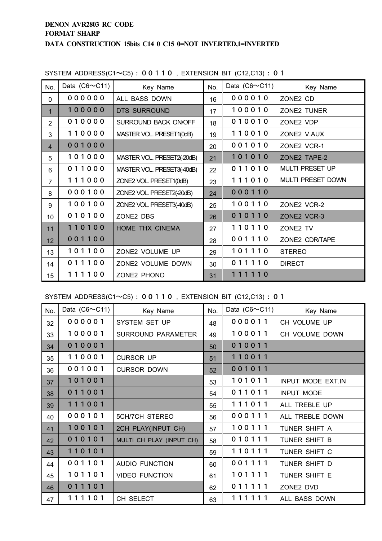| No.            | Data $(C6 \sim C11)$ | Key Name                   | No. | Data $(C6 \sim C11)$ | Key Name                 |
|----------------|----------------------|----------------------------|-----|----------------------|--------------------------|
| 0              | 000000               | ALL BASS DOWN              | 16  | 000010               | ZONE2 CD                 |
| $\mathbf{1}$   | 100000               | <b>DTS SURROUND</b>        | 17  | 100010               | <b>ZONE2 TUNER</b>       |
| $\overline{2}$ | 010000               | SURROUND BACK ON/OFF       | 18  | 010010               | ZONE2 VDP                |
| 3              | 110000               | MASTER VOL. PRESET1(0dB)   | 19  | 110010               | ZONE2 V.AUX              |
| $\overline{4}$ | 001000               |                            | 20  | 001010               | ZONE2 VCR-1              |
| 5              | 101000               | MASTER VOL. PRESET2(-20dB) | 21  | 101010               | ZONE2 TAPE-2             |
| 6              | 011000               | MASTER VOL. PRESET3(40dB)  | 22  | 011010               | <b>MULTI PRESET UP</b>   |
| $\overline{7}$ | 111000               | ZONE2 VOL. PRESET1(0dB)    | 23  | 111010               | <b>MULTI PRESET DOWN</b> |
| 8              | 000100               | ZONE2 VOL. PRESET2(-20dB)  | 24  | 000110               |                          |
| 9              | 100100               | ZONE2 VOL. PRESET3(40dB)   | 25  | 100110               | ZONE2 VCR-2              |
| 10             | 010100               | ZONE2 DBS                  | 26  | 010110               | ZONE2 VCR-3              |
| 11             | 110100               | HOME THX CINEMA            | 27  | 110110               | ZONE2 TV                 |
| 12             | 001100               |                            | 28  | 001110               | ZONE2 CDR/TAPE           |
| 13             | 101100               | ZONE2 VOLUME UP            | 29  | 101110               | <b>STEREO</b>            |
| 14             | 011100               | ZONE2 VOLUME DOWN          | 30  | 011110               | <b>DIRECT</b>            |
| 15             | 111100               | ZONE2 PHONO                | 31  | 111110               |                          |

SYSTEM ADDRESS(C1~C5) : , EXTENSION BIT (C12,C13) :  $01$ 

SYSTEM ADDRESS(C1~C5) : , EXTENSION BIT (C12,C13) :  $01$ 

| No. | Data $(C6 \sim C11)$ | Key Name                  | No. | Data $(C6 \sim C11)$ | Key Name          |
|-----|----------------------|---------------------------|-----|----------------------|-------------------|
| 32  | 000001               | SYSTEM SET UP             | 48  | 000011               | CH VOLUME UP      |
| 33  | 100001               | <b>SURROUND PARAMETER</b> | 49  | 100011               | CH VOLUME DOWN    |
| 34  | 010001               |                           | 50  | 010011               |                   |
| 35  | 110001               | <b>CURSOR UP</b>          | 51  | 110011               |                   |
| 36  | 001001               | <b>CURSOR DOWN</b>        | 52  | 001011               |                   |
| 37  | 101001               |                           | 53  | 101011               | INPUT MODE EXT.IN |
| 38  | 011001               |                           | 54  | 011011               | <b>INPUT MODE</b> |
| 39  | 111001               |                           | 55  | 111011               | ALL TREBLE UP     |
| 40  | 000101               | <b>5CH/7CH STEREO</b>     | 56  | 000111               | ALL TREBLE DOWN   |
| 41  | 100101               | 2CH PLAY(INPUT CH)        | 57  | 100111               | TUNER SHIFT A     |
| 42  | 010101               | MULTI CH PLAY (INPUT CH)  | 58  | 010111               | TUNER SHIFT B     |
| 43  | 110101               |                           | 59  | 110111               | TUNER SHIFT C     |
| 44  | 001101               | <b>AUDIO FUNCTION</b>     | 60  | 001111               | TUNER SHIFT D     |
| 45  | 101101               | <b>VIDEO FUNCTION</b>     | 61  | 101111               | TUNER SHIFT E     |
| 46  | 011101               |                           | 62  | 011111               | ZONE2 DVD         |
| 47  | 111101               | CH SELECT                 | 63  | 111111               | ALL BASS DOWN     |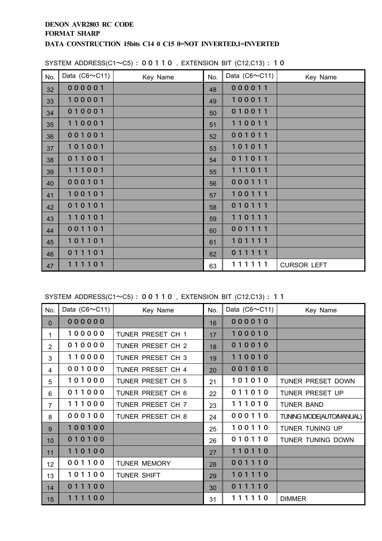| No. | Data $(C6 \sim C11)$ | Key Name | No. | Data $(C6 \sim C11)$ | Key Name           |
|-----|----------------------|----------|-----|----------------------|--------------------|
| 32  | 000001               |          | 48  | 000011               |                    |
| 33  | 100001               |          | 49  | 100011               |                    |
| 34  | 010001               |          | 50  | 010011               |                    |
| 35  | 110001               |          | 51  | 110011               |                    |
| 36  | 001001               |          | 52  | 001011               |                    |
| 37  | 101001               |          | 53  | 101011               |                    |
| 38  | 011001               |          | 54  | 011011               |                    |
| 39  | 111001               |          | 55  | 111011               |                    |
| 40  | 000101               |          | 56  | 000111               |                    |
| 41  | 100101               |          | 57  | 100111               |                    |
| 42  | 010101               |          | 58  | 010111               |                    |
| 43  | 110101               |          | 59  | 110111               |                    |
| 44  | 001101               |          | 60  | 001111               |                    |
| 45  | 101101               |          | 61  | 101111               |                    |
| 46  | 011101               |          | 62  | 011111               |                    |
| 47  | 111101               |          | 63  | 111111               | <b>CURSOR LEFT</b> |

#### SYSTEM ADDRESS(C1~C5) : , EXTENSION BIT (C12,C13) :  $10$

SYSTEM ADDRESS(C1~C5) : , EXTENSION BIT (C12,C13) :  $11$ 

| No.            | Data $(C6 \sim C11)$ | Key Name            | No. | Data $(C6 \sim C11)$ | Key Name                |
|----------------|----------------------|---------------------|-----|----------------------|-------------------------|
| $\mathbf 0$    | 000000               |                     | 16  | 000010               |                         |
| $\mathbf 1$    | 100000               | TUNER PRESET CH 1   | 17  | 100010               |                         |
| $\overline{2}$ | 010000               | TUNER PRESET CH 2   | 18  | 010010               |                         |
| 3              | 110000               | TUNER PRESET CH 3   | 19  | 110010               |                         |
| 4              | 001000               | TUNER PRESET CH 4   | 20  | 001010               |                         |
| 5              | 101000               | TUNER PRESET CH 5   | 21  | 101010               | TUNER PRESET DOWN       |
| 6              | 011000               | TUNER PRESET CH 6   | 22  | 011010               | TUNER PRESET UP         |
| $\overline{7}$ | 111000               | TUNER PRESET CH 7   | 23  | 111010               | <b>TUNER BAND</b>       |
| 8              | 000100               | TUNER PRESET CH 8   | 24  | 000110               | TUNING MODE(AUTOMANUAL) |
| 9              | 100100               |                     | 25  | 100110               | TUNER TUNING UP         |
| 10             | 010100               |                     | 26  | 010110               | TUNER TUNING DOWN       |
| 11             | 110100               |                     | 27  | 110110               |                         |
| 12             | 001100               | <b>TUNER MEMORY</b> | 28  | 001110               |                         |
| 13             | 101100               | <b>TUNER SHIFT</b>  | 29  | 101110               |                         |
| 14             | 011100               |                     | 30  | 011110               |                         |
| 15             | 111100               |                     | 31  | 111110               | <b>DIMMER</b>           |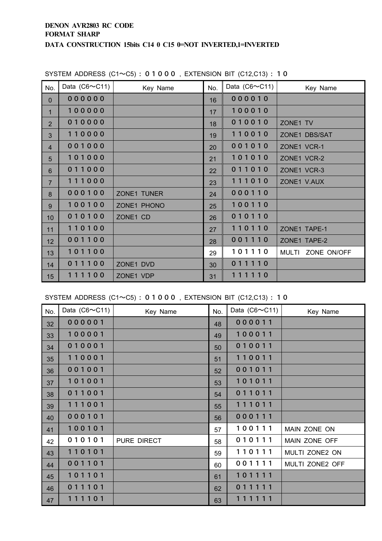| No.            | Data $(C6 \sim C11)$ | Key Name           | No. | Data $(C6 \sim C11)$ | Key Name          |
|----------------|----------------------|--------------------|-----|----------------------|-------------------|
| $\mathbf{0}$   | 000000               |                    | 16  | 000010               |                   |
| 1              | 100000               |                    | 17  | 100010               |                   |
| $\overline{2}$ | 010000               |                    | 18  | 010010               | ZONE1 TV          |
| 3              | 110000               |                    | 19  | 110010               | ZONE1 DBS/SAT     |
| $\overline{4}$ | 001000               |                    | 20  | 001010               | ZONE1 VCR-1       |
| 5              | 101000               |                    | 21  | 101010               | ZONE1 VCR-2       |
| 6              | 011000               |                    | 22  | 011010               | ZONE1 VCR-3       |
| $\overline{7}$ | 111000               |                    | 23  | 111010               | ZONE1 V.AUX       |
| 8              | 000100               | <b>ZONE1 TUNER</b> | 24  | 000110               |                   |
| 9              | 100100               | ZONE1 PHONO        | 25  | 100110               |                   |
| 10             | 010100               | ZONE1 CD           | 26  | 010110               |                   |
| 11             | 110100               |                    | 27  | 110110               | ZONE1 TAPE-1      |
| 12             | 001100               |                    | 28  | 001110               | ZONE1 TAPE-2      |
| 13             | 101100               |                    | 29  | 101110               | MULTI ZONE ON/OFF |
| 14             | 011100               | ZONE1 DVD          | 30  | 011110               |                   |
| 15             | 111100               | ZONE1 VDP          | 31  | 111110               |                   |

#### SYSTEM ADDRESS  $(C1 \sim C5) : 0 1 0 0 0$ , EXTENSION BIT  $(C12, C13) : 1 0$

SYSTEM ADDRESS (C1~C5) : , EXTENSION BIT (C12,C13) :  $10$ 

| No. | Data $(C6 \sim C11)$ | Key Name    | No. | Data $(C6 \sim C11)$ | Key Name        |
|-----|----------------------|-------------|-----|----------------------|-----------------|
| 32  | 000001               |             | 48  | 000011               |                 |
| 33  | 100001               |             | 49  | 100011               |                 |
| 34  | 010001               |             | 50  | 010011               |                 |
| 35  | 110001               |             | 51  | 110011               |                 |
| 36  | 001001               |             | 52  | 001011               |                 |
| 37  | 101001               |             | 53  | 101011               |                 |
| 38  | 011001               |             | 54  | 011011               |                 |
| 39  | 111001               |             | 55  | 111011               |                 |
| 40  | 000101               |             | 56  | 000111               |                 |
| 41  | 100101               |             | 57  | 100111               | MAIN ZONE ON    |
| 42  | 010101               | PURE DIRECT | 58  | 010111               | MAIN ZONE OFF   |
| 43  | 110101               |             | 59  | 110111               | MULTI ZONE2 ON  |
| 44  | 001101               |             | 60  | 001111               | MULTI ZONE2 OFF |
| 45  | 101101               |             | 61  | 101111               |                 |
| 46  | 011101               |             | 62  | 011111               |                 |
| 47  | 111101               |             | 63  | 111111               |                 |